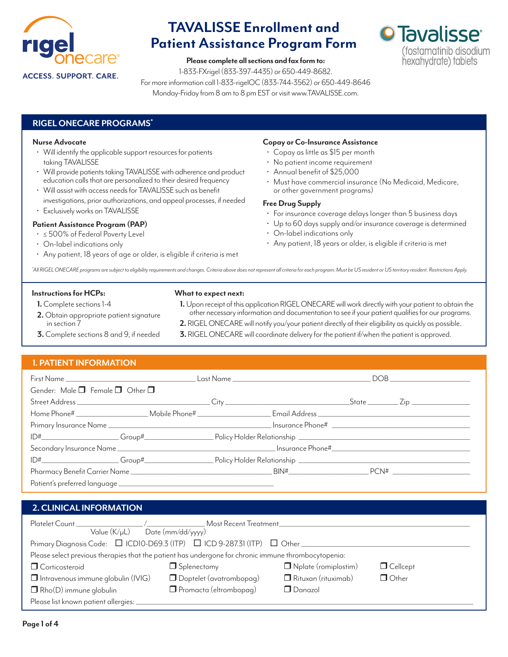

**Please complete all sections and fax form to:**

1-833-FXrigel (833-397-4435) or 650-449-8682.

For more information call 1-833-rigelOC (833-744-3562) or 650-449-8646 Monday-Friday from 8 am to 8 pm EST or visit www.TAVALISSE.com.



### **RIGEL ONECARE PROGRAMS\***

### **Nurse Advocate**

- Will identify the applicable support resources for patients taking TAVALISSE
- Will provide patients taking TAVALISSE with adherence and product education calls that are personalized to their desired frequency
- Will assist with access needs for TAVALISSE such as benefit investigations, prior authorizations, and appeal processes, if needed
- Exclusively works on TAVALISSE

### **Patient Assistance Program (PAP)**

- ≤ 500% of Federal Poverty Level
- On-label indications only
- Any patient, 18 years of age or older, is eligible if criteria is met

### **Copay or Co-Insurance Assistance**

- Copay as little as \$15 per month
- No patient income requirement
- Annual benefit of \$25,000
- Must have commercial insurance (No Medicaid, Medicare, or other government programs)

### **Free Drug Supply**

- For insurance coverage delays longer than 5 business days
- Up to 60 days supply and/or insurance coverage is determined
- On-label indications only
- Any patient, 18 years or older, is eligible if criteria is met

\*All RIGEL ONECARE programs are subject to eligibility requirements and changes. Criteria above does not represent all criteria for each program. Must be US resident or US territory resident. Restrictions Apply.

#### **Instructions for HCPs:**

### **What to expect next:**

- **1.** Complete sections 1-4
- **1.** Upon receipt of this application RIGEL ONECARE will work directly with your patient to obtain the
- **2.** Obtain appropriate patient signature in section 7 **3.** Complete sections 8 and 9, if needed
- other necessary information and documentation to see if your patient qualifies for our programs. **2.** RIGEL ONECARE will notify you/your patient directly of their eligibility as quickly as possible.
- **3.** RIGEL ONECARE will coordinate delivery for the patient if/when the patient is approved.

# **1. PATIENT INFORMATION**

| Gender: Male $\Box$ Female $\Box$ Other $\Box$ |  |  |  |  |  |
|------------------------------------------------|--|--|--|--|--|
|                                                |  |  |  |  |  |
|                                                |  |  |  |  |  |
|                                                |  |  |  |  |  |
|                                                |  |  |  |  |  |
|                                                |  |  |  |  |  |
|                                                |  |  |  |  |  |
|                                                |  |  |  |  |  |
|                                                |  |  |  |  |  |

# **2. CLINICAL INFORMATION**

| Platelet Count Material Material Material Material Material Material Material Material Material Material Mater<br>Value $(K/\mu L)$ Date (mm/dd/yyyy) | Most Recent Treatment   |                      |                 |
|-------------------------------------------------------------------------------------------------------------------------------------------------------|-------------------------|----------------------|-----------------|
| Primary Diagnosis Code: □ ICD10-D69.3 (ITP) □ ICD 9-287.31 (ITP) □ Other                                                                              |                         |                      |                 |
| Please select previous therapies that the patient has undergone for chronic immune thrombocytopenia:                                                  |                         |                      |                 |
| O Corticosteroid                                                                                                                                      | $\Box$ Splenectomy      | Nplate (romiplostim) | $\Box$ Cellcept |
| $\Box$ Intravenous immune globulin (IVIG)                                                                                                             | Doptelet (avatrombopag) | Rituxan (rituximab)  | $\Box$ Other    |
| $\Box$ Rho(D) immune globulin                                                                                                                         | Promacta (eltrombopag)  | $\Box$ Danazol       |                 |
| Please list known patient allergies:                                                                                                                  |                         |                      |                 |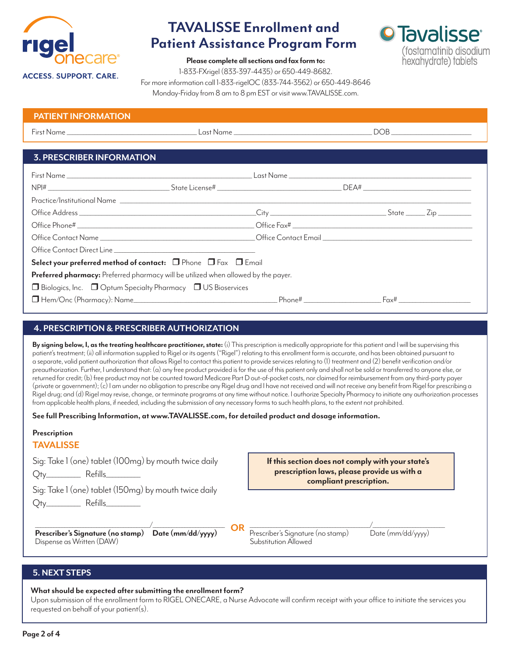

**O** Tavalisse<sup>®</sup>

(fostamatinib disodium hexahydrate) tablets

**Please complete all sections and fax form to:**

1-833-FXrigel (833-397-4435) or 650-449-8682.

For more information call 1-833-rigelOC (833-744-3562) or 650-449-8646 Monday-Friday from 8 am to 8 pm EST or visit www.TAVALISSE.com.

| <b>PATIENT INFORMATION</b> |           |  |
|----------------------------|-----------|--|
| First Name                 | Last Name |  |
|                            |           |  |

# **3. PRESCRIBER INFORMATION**

| Select your preferred method of contact: $\Box$ Phone $\Box$ Fax $\Box$ Email      |  |  |  |  |
|------------------------------------------------------------------------------------|--|--|--|--|
| Preferred pharmacy: Preferred pharmacy will be utilized when allowed by the payer. |  |  |  |  |
| $\Box$ Biologics, Inc. $\Box$ Optum Specialty Pharmacy $\Box$ US Bioservices       |  |  |  |  |
|                                                                                    |  |  |  |  |

# **4. PRESCRIPTION & PRESCRIBER AUTHORIZATION**

**By signing below, I, as the treating healthcare practitioner, state:** (i) This prescription is medically appropriate for this patient and I will be supervising this patient's treatment; (ii) all information supplied to Rigel or its agents ("Rigel") relating to this enrollment form is accurate, and has been obtained pursuant to a separate, valid patient authorization that allows Rigel to contact this patient to provide services relating to (1) treatment and (2) benefit verification and/or preauthorization. Further, I understand that: (a) any free product provided is for the use of this patient only and shall not be sold or transferred to anyone else, or returned for credit; (b) free product may not be counted toward Medicare Part D out-of-pocket costs, nor claimed for reimbursement from any third-party payer (private or government); (c) I am under no obligation to prescribe any Rigel drug and I have not received and will not receive any benefit from Rigel for prescribing a Rigel drug; and (d) Rigel may revise, change, or terminate programs at any time without notice. I authorize Specialty Pharmacy to initiate any authorization processes from applicable health plans, if needed, including the submission of any necessary forms to such health plans, to the extent not prohibited.

**See full Prescribing Information, at www.TAVALISSE.com, for detailed product and dosage information.**

# **Prescription TAVALISSE** Sig: Take 1 (one) tablet (100mg) by mouth twice daily Qty\_\_\_\_\_\_\_\_\_\_\_ Refills\_\_\_\_\_\_\_\_\_\_\_ Sig: Take 1 (one) tablet (150mg) by mouth twice daily Qty\_\_\_\_\_\_\_\_\_\_\_ Refills\_\_\_\_\_\_\_\_\_\_\_  $\sqrt{1-\frac{1}{2}+\frac{1}{2}+\frac{1}{2}+\frac{1}{2}+\frac{1}{2}+\frac{1}{2}+\frac{1}{2}+\frac{1}{2}+\frac{1}{2}+\frac{1}{2}+\frac{1}{2}+\frac{1}{2}+\frac{1}{2}+\frac{1}{2}+\frac{1}{2}+\frac{1}{2}+\frac{1}{2}+\frac{1}{2}+\frac{1}{2}+\frac{1}{2}+\frac{1}{2}+\frac{1}{2}+\frac{1}{2}+\frac{1}{2}+\frac{1}{2}+\frac{1}{2}+\frac{1}{2}+\frac{1}{2}+\frac{1}{2}+\frac{1}{2}+\frac{1}{2$ **Prescriber's Signature (no stamp) Date (mm/dd/yyyy)** Prescriber's Signature (no stamp) Date (mm/dd/yyyy)<br>Dispense as Written (DAW) **Date (mm/dd/yyyy)** Substitution Allowed Dispense as Written (DAW) **OR If this section does not comply with your state's prescription laws, please provide us with a compliant prescription.**

# **5. NEXT STEPS**

**What should be expected after submitting the enrollment form?** 

Upon submission of the enrollment form to RIGEL ONECARE, a Nurse Advocate will confirm receipt with your office to initiate the services you requested on behalf of your patient(s).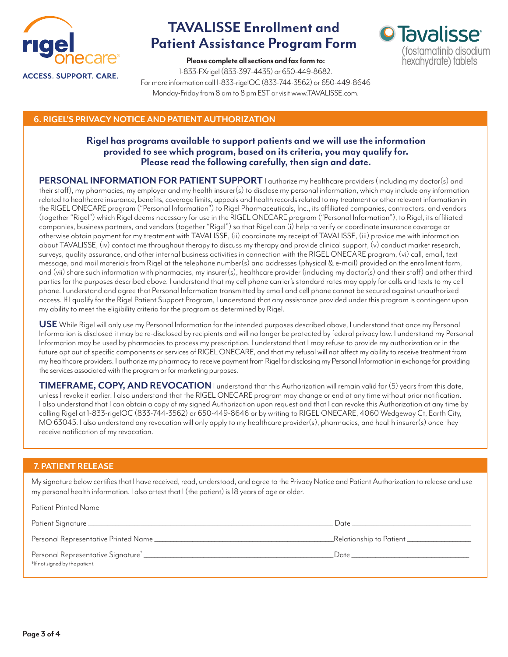

**O** Tavalisse<sup>®</sup>

(fostamatinib disodium hexahydrate) tablets

**Please complete all sections and fax form to:** 1-833-FXrigel (833-397-4435) or 650-449-8682. For more information call 1-833-rigelOC (833-744-3562) or 650-449-8646 Monday-Friday from 8 am to 8 pm EST or visit www.TAVALISSE.com.

# **6. RIGEL'S PRIVACY NOTICE AND PATIENT AUTHORIZATION**

# **Rigel has programs available to support patients and we will use the information provided to see which program, based on its criteria, you may qualify for. Please read the following carefully, then sign and date.**

**PERSONAL INFORMATION FOR PATIENT SUPPORT** I authorize my healthcare providers (including my doctor(s) and their staff), my pharmacies, my employer and my health insurer(s) to disclose my personal information, which may include any information related to healthcare insurance, benefits, coverage limits, appeals and health records related to my treatment or other relevant information in the RIGEL ONECARE program ("Personal Information") to Rigel Pharmaceuticals, Inc., its affiliated companies, contractors, and vendors (together "Rigel") which Rigel deems necessary for use in the RIGEL ONECARE program ("Personal Information"), to Rigel, its affiliated companies, business partners, and vendors (together "Rigel") so that Rigel can (i) help to verify or coordinate insurance coverage or otherwise obtain payment for my treatment with TAVALISSE, (ii) coordinate my receipt of TAVALISSE, (iii) provide me with information about TAVALISSE, (iv) contact me throughout therapy to discuss my therapy and provide clinical support, (v) conduct market research, surveys, quality assurance, and other internal business activities in connection with the RIGEL ONECARE program, (vi) call, email, text message, and mail materials from Rigel at the telephone number(s) and addresses (physical & e-mail) provided on the enrollment form, and (vii) share such information with pharmacies, my insurer(s), healthcare provider (including my doctor(s) and their staff) and other third parties for the purposes described above. I understand that my cell phone carrier's standard rates may apply for calls and texts to my cell phone. I understand and agree that Personal Information transmitted by email and cell phone cannot be secured against unauthorized access. If I qualify for the Rigel Patient Support Program, I understand that any assistance provided under this program is contingent upon my ability to meet the eligibility criteria for the program as determined by Rigel.

**USE** While Rigel will only use my Personal Information for the intended purposes described above, I understand that once my Personal Information is disclosed it may be re-disclosed by recipients and will no longer be protected by federal privacy law. I understand my Personal Information may be used by pharmacies to process my prescription. I understand that I may refuse to provide my authorization or in the future opt out of specific components or services of RIGEL ONECARE, and that my refusal will not affect my ability to receive treatment from my healthcare providers. I authorize my pharmacy to receive payment from Rigel for disclosing my Personal Information in exchange for providing the services associated with the program or for marketing purposes.

**TIMEFRAME, COPY, AND REVOCATION**I understand that this Authorization will remain valid for (5) years from this date, unless I revoke it earlier. I also understand that the RIGEL ONECARE program may change or end at any time without prior notification. I also understand that I can obtain a copy of my signed Authorization upon request and that I can revoke this Authorization at any time by calling Rigel at 1-833-rigelOC (833-744-3562) or 650-449-8646 or by writing to RIGEL ONECARE, 4060 Wedgeway Ct, Earth City, MO 63045. I also understand any revocation will only apply to my healthcare provider(s), pharmacies, and health insurer(s) once they receive notification of my revocation.

# **7. PATIENT RELEASE**

My signature below certifies that I have received, read, understood, and agree to the Privacy Notice and Patient Authorization to release and use my personal health information. I also attest that I (the patient) is 18 years of age or older.

|                                | Date <u>_________________</u>                                                                                                                                                                                                  |
|--------------------------------|--------------------------------------------------------------------------------------------------------------------------------------------------------------------------------------------------------------------------------|
|                                | _Relationship to Patient ____________________                                                                                                                                                                                  |
| *If not signed by the patient. | Date and the contract of the contract of the contract of the contract of the contract of the contract of the contract of the contract of the contract of the contract of the contract of the contract of the contract of the c |